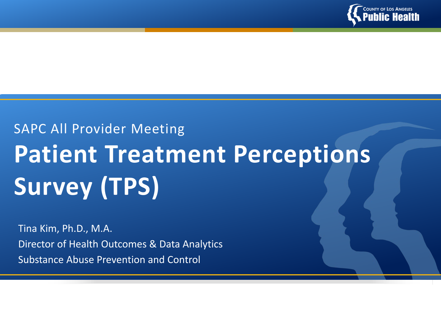

# SAPC All Provider Meeting **Patient Treatment Perceptions Survey (TPS)**

Tina Kim, Ph.D., M.A. Director of Health Outcomes & Data Analytics Substance Abuse Prevention and Control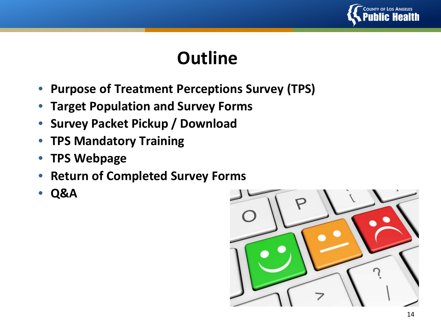

## **Outline**

- **Purpose of Treatment Perceptions Survey (TPS)**
- **Target Population and Survey Forms**
- **Survey Packet Pickup / Download**
- **TPS Mandatory Training**
- **TPS Webpage**
- **Return of Completed Survey Forms**
- **Q&A**

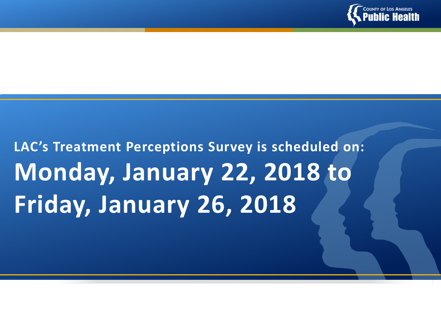

# **LAC's Treatment Perceptions Survey is scheduled on: Monday, January 22, 2018 to Friday, January 26, 2018**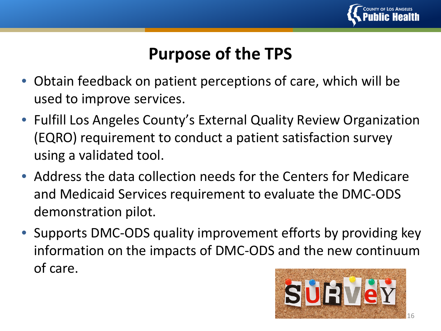

### **Purpose of the TPS**

- Obtain feedback on patient perceptions of care, which will be used to improve services.
- Fulfill Los Angeles County's External Quality Review Organization (EQRO) requirement to conduct a patient satisfaction survey using a validated tool.
- Address the data collection needs for the Centers for Medicare and Medicaid Services requirement to evaluate the DMC-ODS demonstration pilot.
- Supports DMC-ODS quality improvement efforts by providing key information on the impacts of DMC-ODS and the new continuum of care.

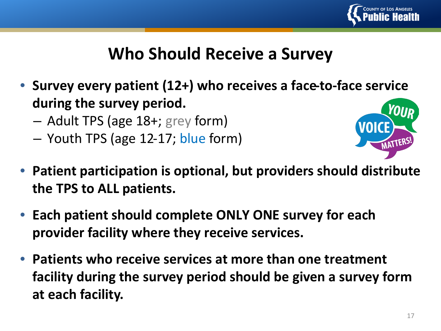

### **Who Should Receive a Survey**

- **Survey every patient (12+) who receives a face-to-face service during the survey period.** 
	- Adult TPS (age 18+; grey form)
	- Youth TPS (age 12-17; blue form)



- **Patient participation is optional, but providers should distribute the TPS to ALL patients.**
- **Each patient should complete ONLY ONE survey for each provider facility where they receive services.**
- **Patients who receive services at more than one treatment facility during the survey period should be given a survey form at each facility.**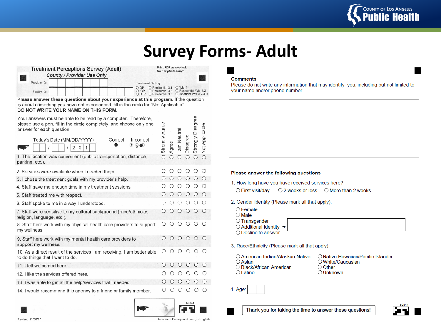

### **Survey Forms- Adult**

|              | <b>Treatment Perceptions Survey (Adult)</b><br><b>County / Provider Use Only</b> |  | Print PDF as needed.<br>Do not photocopy! |                           |                                                                                                    |  |  |  |  |  |
|--------------|----------------------------------------------------------------------------------|--|-------------------------------------------|---------------------------|----------------------------------------------------------------------------------------------------|--|--|--|--|--|
| Provider ID: |                                                                                  |  |                                           | <b>Treatment Setting:</b> |                                                                                                    |  |  |  |  |  |
| Facility ID: |                                                                                  |  | O OP                                      | O Residential 3.1         | O WM 1<br>O Residential 3.3 O Residential VM 3.2<br>O OTP O Residential 3.5 O Inpatient VM 3.7/4.0 |  |  |  |  |  |

Please answer these questions about your experience at this program. If the question is about something you have not experienced, fill in the circle for "Not Applicable". DO NOT WRITE YOUR NAME ON THIS FORM.

| Your answers must be able to be read by a computer. Therefore,<br>please use a pen, fill in the circle completely, and choose only one<br>answer for each question. | Agree      |           |             |            | Strongly Disagree |                |
|---------------------------------------------------------------------------------------------------------------------------------------------------------------------|------------|-----------|-------------|------------|-------------------|----------------|
| Today's Date (MM/DD/YYYY)<br>Correct<br>Incorrect<br>ு ஓ⊕<br>2<br>$\Omega$<br>1                                                                                     | Strongly   | Agree     | I am Neutra | Disagree   |                   | Not Applicable |
| 1. The location was convenient (public transportation, distance,<br>parking, etc.).                                                                                 | $\bigcirc$ | $\bigcap$ | ∩           | ∩          | $\bigcap$         | $\bigcap$      |
| 2. Services were available when I needed them.                                                                                                                      |            |           |             |            |                   |                |
| 3. I chose the treatment goals with my provider's help.                                                                                                             |            |           |             |            |                   |                |
| 4. Staff gave me enough time in my treatment sessions.                                                                                                              |            |           |             |            |                   |                |
| 5. Staff treated me with respect.                                                                                                                                   |            |           |             |            |                   |                |
| 6. Staff spoke to me in a way I understood.                                                                                                                         |            |           |             |            |                   |                |
| 7. Staff were sensitive to my cultural background (race/ethnicity,<br>religion, language, etc.).                                                                    |            |           |             |            |                   |                |
| 8. Staff here work with my physical health care providers to support<br>my wellness.                                                                                |            |           | ◯           |            |                   |                |
| 9. Staff here work with my mental health care providers to<br>support my wellness.                                                                                  |            |           | $\bigcirc$  | $\bigcirc$ | $\bigcirc$        |                |
| 10. As a direct result of the services I am receiving, I am better able<br>to do things that I want to do.                                                          |            |           |             |            |                   |                |
| 11. I felt welcomed here.                                                                                                                                           |            |           |             |            |                   |                |
| 12. I like the services offered here.                                                                                                                               |            |           |             |            |                   |                |
| 13. I was able to get all the help/services that I needed.                                                                                                          |            |           |             |            |                   |                |
| 14 I would recommend this agency to a friend or family member                                                                                                       |            |           |             |            |                   |                |

#### **Comments**

Please do not write any information that may identify you, including but not limited to your name and/or phone number.

#### Please answer the following questions

1. How long have you have received services here?

○ First visit/day ○ 2 weeks or less ○ More than 2 weeks

- 2. Gender Identity (Please mark all that apply):
	- $\bigcirc$  Female
	- $\bigcirc$  Male

○ Transgender

 $\bigcirc$  Additional identity  $\rightarrow$ 

○ Decline to answer

3. Race/Ethnicity (Please mark all that apply):

| ○ American Indian/Alaskan Native | O Native Hawaiian/Pacific Islander |
|----------------------------------|------------------------------------|
| $\bigcirc$ Asian                 | ○ White/Caucasian                  |
| ◯ Black/African American         | ○ Other                            |
| $\bigcirc$ Latino                | $\bigcirc$ Unknown                 |







Treatment Perception Survey - English

52844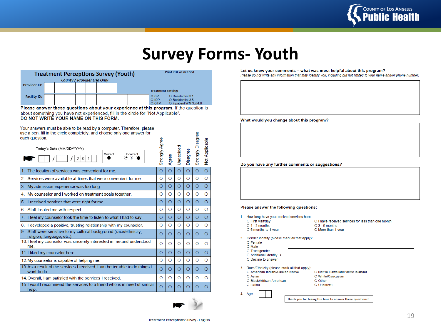

### **Survey Forms- Youth**

စ္ၿ

| <b>Treatment Perceptions Survey (Youth)</b><br>County / Provider Use Only |  |  |  |  |  |  |  |  |                           | <b>Print PDF as needed.</b>                                            |  |
|---------------------------------------------------------------------------|--|--|--|--|--|--|--|--|---------------------------|------------------------------------------------------------------------|--|
| <b>Provider ID:</b>                                                       |  |  |  |  |  |  |  |  | <b>Treatment Setting:</b> |                                                                        |  |
| <b>Facility ID:</b>                                                       |  |  |  |  |  |  |  |  | O OP<br>O IOP<br>O OTP    | O Residential 3.1<br>O Residential 3.5<br>$\circ$ Inpatient WM 3.7/4.0 |  |

Please answer these questions about your experience at this program. If the question is about something you have not experienced, fill in the circle for "Not Applicable". DO NOT WRITE YOUR NAME ON THIS FORM.

#### Your answers must be able to be read by a computer. Therefore, please use a pen, fill in the circle completely, and choose only one answer for each question

| Cath question.<br>Today's Date (MM/DD/YYYY)<br>Correct<br>Incorrect<br>x<br>2<br>$\bf{0}$<br>1 | Strongly Agree | Agree   | <b>Jndecided</b> | Disagree | Disag<br>Strongly | Not Applicable |
|------------------------------------------------------------------------------------------------|----------------|---------|------------------|----------|-------------------|----------------|
| The location of services was convenient for me.                                                | O              | Ο       | $\circ$          | $\circ$  | $\circ$           | $\circ$        |
| Services were available at times that were convenient for me.<br>2.                            | O              | O       | O                | O        | O                 | O              |
| My admission experience was too long.<br>3.                                                    | O              | $\circ$ | $\circ$          | $\circ$  | O                 | $\circ$        |
| My counselor and I worked on treatment goals together.<br>4                                    | O              | O       | O                | O        | O                 | $\circ$        |
| I received services that were right for me.<br>5.                                              | Ο              | O       | $\circ$          | Ο        | O                 | Ο              |
| Staff treated me with respect.<br>6.                                                           | Ο              | O       | O                | O        | O                 | O              |
| 7. I feel my counselor took the time to listen to what I had to say.                           | Ο              | $\circ$ | $\circ$          | $\circ$  | O                 | $\circ$        |
| I developed a positive, trusting relationship with my counselor.<br>8.                         | O              | O       | O                | O        | O                 | O              |
| Staff were sensitive to my cultural background (race/ethnicity,<br>religion, language, etc.).  | O              | O       | $\circ$          | Ο        | O                 | O              |
| 10.1 feel my counselor was sincerely interested in me and understood<br>me.                    | O              | O       | O                | O        | O                 | O              |
| 11. I liked my counselor here.                                                                 | O              | $\circ$ | $\circ$          | O        | $\circ$           | O              |
| 12. My counselor is capable of helping me.                                                     | O              | O       | O                | O        | O                 | Ο              |
| 13. As a result of the services I received, I am better able to do things I<br>want to do.     | O              | Ο       | O                | O        | O                 | Ο              |
| 14. Overall, I am satisfied with the services I received.                                      | Ο              | O       | O                | O        | Ο                 | Ο              |
| 15. I would recommend the services to a friend who is in need of similar<br>help.              | O              | O       | Ο                | Ο        | Ο                 |                |



#### Let us know your comments – what was most helpful about this program?

Please do not write any information that may identify you, including but not limited to your name and/or phone number.

What would you change about this program?

Do you have any further comments or suggestions?

#### Please answer the following questions:

- 1. How long have you received services here:
	- O First visit/day
	- $O_1 2$  months O 6 months to 1 year

O I have received services for less than one month  $O$  3 - 5 months O More than 1 year

- 
- 2. Gender identity (please mark all that apply):
	- O Female O Male
	- O Transgender
	- $\circ$  Additional identity  $\rightarrow$
	- O Decline to answer

3. Race/Ethnicity (please mark all that apply):

- O American Indian/Alaskan Native O Asian
- O Black/African American O Latino
- O White/Caucasian O Other O Unknown

4. Age:

Thank you for taking the time to answer these questions!

O Native Hawaiian/Pacific Islander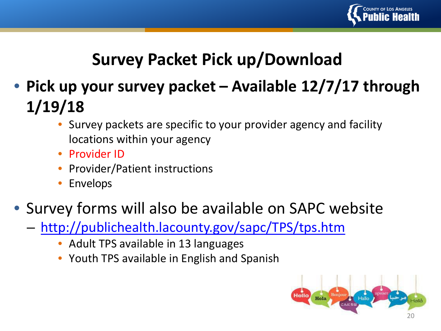

### **Survey Packet Pick up/Download**

- **Pick up your survey packet – Available 12/7/17 through 1/19/18** 
	- Survey packets are specific to your provider agency and facility locations within your agency
	- Provider ID
	- Provider/Patient instructions
	- **Envelops**

### • Survey forms will also be available on SAPC website

- <http://publichealth.lacounty.gov/sapc/TPS/tps.htm>
	- Adult TPS available in 13 languages
	- Youth TPS available in English and Spanish

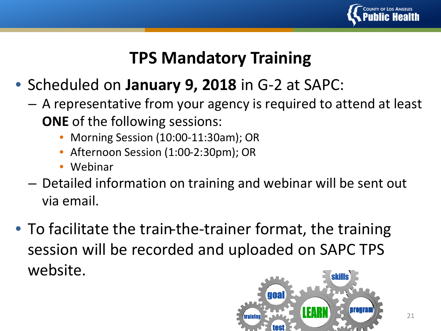

### **TPS Mandatory Training**

- Scheduled on **January 9, 2018** in G-2 at SAPC:
	- A representative from your agency is required to attend at least **ONE** of the following sessions:
		- Morning Session (10:00-11:30am); OR
		- Afternoon Session (1:00-2:30pm); OR
		- Webinar
	- Detailed information on training and webinar will be sent out via email.
- To facilitate the train-the-trainer format, the training session will be recorded and uploaded on SAPC TPS website.

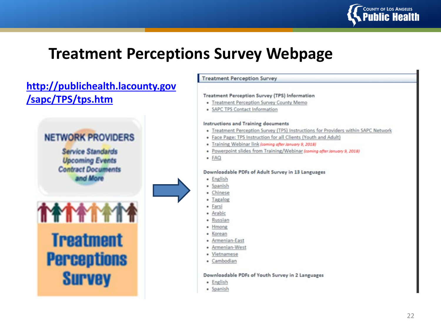

### **Treatment Perceptions Survey Webpage**

### **[http://publichealth.lacounty.gov](http://publichealth.lacounty.gov/sapc/TPS/tps.htm) /sapc/TPS/tps.htm**



### **Treatment Perception Survey Treatment Perception Survey (TPS) Information** • Treatment Perception Survey County Memo · SAPC TPS Contact Information Instructions and Training documents . Treatment Perception Survey (TPS) Instructions for Providers within SAPC Network • Face Page: TPS Instruction for all Clients (Youth and Adult) · Training Webinar link (coming after January 9, 2018) · Powerpoint slides from Training/Webinar (coming ofter January 9, 2018)  $\bullet$   $FAQ$ Downloadable PDFs of Adult Survey in 13 Languages · English · Spanish · Chinese · Tagalog · Farsi · Arabic · Russian · Hmong · Korean • Armenian-East • Armenian-West · Vietnamese • Cambodian Downloadable PDFs of Youth Survey in 2 Languages · English · Spanish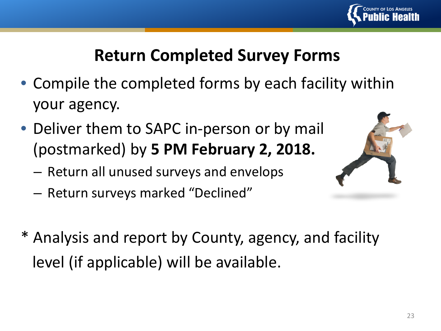

### **Return Completed Survey Forms**

- Compile the completed forms by each facility within your agency.
- Deliver them to SAPC in-person or by mail (postmarked) by **5 PM February 2, 2018.** 
	- Return all unused surveys and envelops
	- Return surveys marked "Declined"
- \* Analysis and report by County, agency, and facility level (if applicable) will be available.